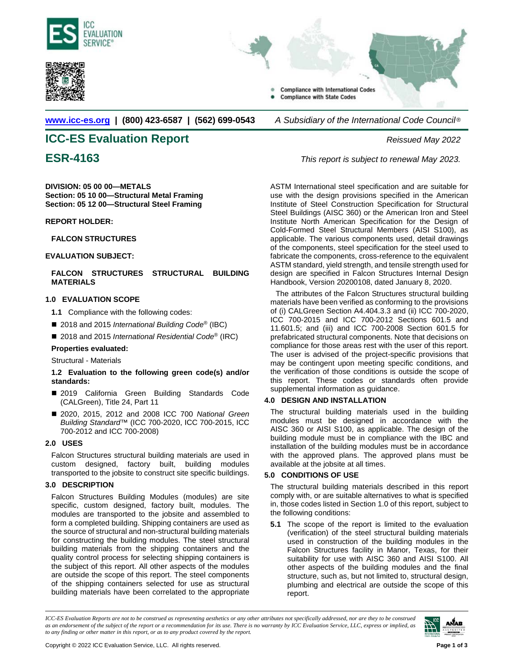



**[www.icc-es.org](http://www.icc-es.org/) | (800) 423-6587 | (562) 699-0543** *A Subsidiary of the International Code Council* ®

# **ICC-ES Evaluation Report** *Reissued May 2022*

**DIVISION: 05 00 00—METALS Section: 05 10 00—Structural Metal Framing Section: 05 12 00—Structural Steel Framing**

### **REPORT HOLDER:**

### **FALCON STRUCTURES**

### **EVALUATION SUBJECT:**

# **FALCON STRUCTURES STRUCTURAL BUILDING MATERIALS**

# **1.0 EVALUATION SCOPE**

- **1.1** Compliance with the following codes:
- 2018 and 2015 *International Building Code<sup>®</sup>* (IBC)
- 2018 and 2015 *International Residential Code*<sup>®</sup> (IRC)

### **Properties evaluated:**

Structural - Materials

### **1.2 Evaluation to the following green code(s) and/or standards:**

- 2019 California Green Building Standards Code (CALGreen), Title 24, Part 11
- 2020, 2015, 2012 and 2008 ICC 700 National Green *Building Standard*™ (ICC 700-2020, ICC 700-2015, ICC 700-2012 and ICC 700-2008)

# **2.0 USES**

Falcon Structures structural building materials are used in custom designed, factory built, building modules transported to the jobsite to construct site specific buildings.

# **3.0 DESCRIPTION**

Falcon Structures Building Modules (modules) are site specific, custom designed, factory built, modules. The modules are transported to the jobsite and assembled to form a completed building. Shipping containers are used as the source of structural and non-structural building materials for constructing the building modules. The steel structural building materials from the shipping containers and the quality control process for selecting shipping containers is the subject of this report. All other aspects of the modules are outside the scope of this report. The steel components of the shipping containers selected for use as structural building materials have been correlated to the appropriate



**ESR-4163** *This report is subject to renewal May 2023.*

ASTM International steel specification and are suitable for use with the design provisions specified in the American Institute of Steel Construction Specification for Structural Steel Buildings (AISC 360) or the American Iron and Steel Institute North American Specification for the Design of Cold-Formed Steel Structural Members (AISI S100), as applicable. The various components used, detail drawings of the components, steel specification for the steel used to fabricate the components, cross-reference to the equivalent ASTM standard, yield strength, and tensile strength used for design are specified in Falcon Structures Internal Design Handbook, Version 20200108, dated January 8, 2020.

The attributes of the Falcon Structures structural building materials have been verified as conforming to the provisions of (i) CALGreen Section A4.404.3.3 and (ii) ICC 700-2020, ICC 700-2015 and ICC 700-2012 Sections 601.5 and 11.601.5; and (iii) and ICC 700-2008 Section 601.5 for prefabricated structural components. Note that decisions on compliance for those areas rest with the user of this report. The user is advised of the project-specific provisions that may be contingent upon meeting specific conditions, and the verification of those conditions is outside the scope of this report. These codes or standards often provide supplemental information as guidance.

# **4.0 DESIGN AND INSTALLATION**

The structural building materials used in the building modules must be designed in accordance with the AISC 360 or AISI S100, as applicable. The design of the building module must be in compliance with the IBC and installation of the building modules must be in accordance with the approved plans. The approved plans must be available at the jobsite at all times.

# **5.0 CONDITIONS OF USE**

The structural building materials described in this report comply with, or are suitable alternatives to what is specified in, those codes listed in Section 1.0 of this report, subject to the following conditions:

**5.1** The scope of the report is limited to the evaluation (verification) of the steel structural building materials used in construction of the building modules in the Falcon Structures facility in Manor, Texas, for their suitability for use with AISC 360 and AISI S100. All other aspects of the building modules and the final structure, such as, but not limited to, structural design, plumbing and electrical are outside the scope of this report.

*ICC-ES Evaluation Reports are not to be construed as representing aesthetics or any other attributes not specifically addressed, nor are they to be construed as an endorsement of the subject of the report or a recommendation for its use. There is no warranty by ICC Evaluation Service, LLC, express or implied, as to any finding or other matter in this report, or as to any product covered by the report.*

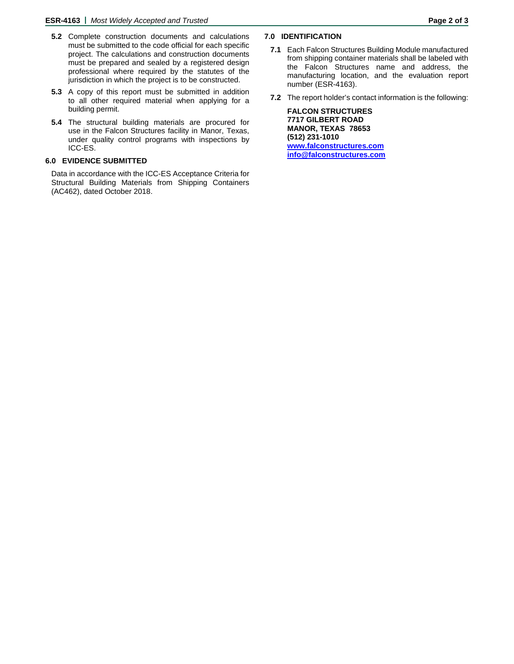- **5.2** Complete construction documents and calculations must be submitted to the code official for each specific project. The calculations and construction documents must be prepared and sealed by a registered design professional where required by the statutes of the jurisdiction in which the project is to be constructed.
- **5.3** A copy of this report must be submitted in addition to all other required material when applying for a building permit.
- **5.4** The structural building materials are procured for use in the Falcon Structures facility in Manor, Texas, under quality control programs with inspections by ICC-ES.

# **6.0 EVIDENCE SUBMITTED**

Data in accordance with the ICC-ES Acceptance Criteria for Structural Building Materials from Shipping Containers (AC462), dated October 2018.

# **7.0 IDENTIFICATION**

- **7.1** Each Falcon Structures Building Module manufactured from shipping container materials shall be labeled with the Falcon Structures name and address, the manufacturing location, and the evaluation report number (ESR-4163).
- **7.2** The report holder's contact information is the following:

**FALCON STRUCTURES 7717 GILBERT ROAD MANOR, TEXAS 78653 (512) 231-1010 [www.falconstructures.com](http://www.falconstructures.com/)  [info@falconstructures.com](mailto:info@falconstructures.com)**